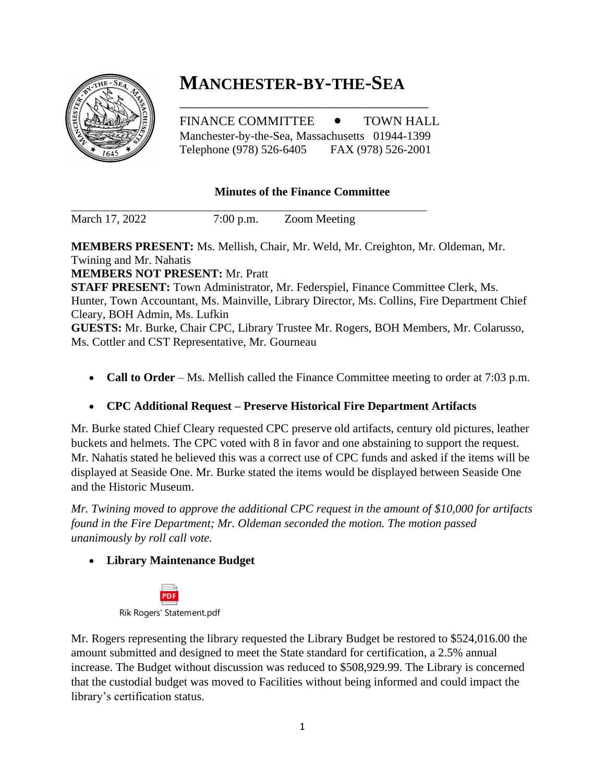

# **MANCHESTER-BY-THE-SEA**

FINANCE COMMITTEE  $\bullet$  TOWN HALL Manchester-by-the-Sea, Massachusetts 01944-1399 Telephone (978) 526-6405 FAX (978) 526-2001

\_\_\_\_\_\_\_\_\_\_\_\_\_\_\_\_\_\_\_\_\_\_\_\_\_\_\_\_\_\_\_\_\_\_\_\_

### **Minutes of the Finance Committee**

March 17, 2022 7:00 p.m. Zoom Meeting

**MEMBERS PRESENT:** Ms. Mellish, Chair, Mr. Weld, Mr. Creighton, Mr. Oldeman, Mr. Twining and Mr. Nahatis **MEMBERS NOT PRESENT:** Mr. Pratt **STAFF PRESENT:** Town Administrator, Mr. Federspiel, Finance Committee Clerk, Ms.

Hunter, Town Accountant, Ms. Mainville, Library Director, Ms. Collins, Fire Department Chief Cleary, BOH Admin, Ms. Lufkin

**GUESTS:** Mr. Burke, Chair CPC, Library Trustee Mr. Rogers, BOH Members, Mr. Colarusso, Ms. Cottler and CST Representative, Mr. Gourneau

• **Call to Order** – Ms. Mellish called the Finance Committee meeting to order at 7:03 p.m.

#### • **CPC Additional Request – Preserve Historical Fire Department Artifacts**

Mr. Burke stated Chief Cleary requested CPC preserve old artifacts, century old pictures, leather buckets and helmets. The CPC voted with 8 in favor and one abstaining to support the request. Mr. Nahatis stated he believed this was a correct use of CPC funds and asked if the items will be displayed at Seaside One. Mr. Burke stated the items would be displayed between Seaside One and the Historic Museum.

*Mr. Twining moved to approve the additional CPC request in the amount of \$10,000 for artifacts found in the Fire Department; Mr. Oldeman seconded the motion. The motion passed unanimously by roll call vote.* 

• **Library Maintenance Budget**



Mr. Rogers representing the library requested the Library Budget be restored to \$524,016.00 the amount submitted and designed to meet the State standard for certification, a 2.5% annual increase. The Budget without discussion was reduced to \$508,929.99. The Library is concerned that the custodial budget was moved to Facilities without being informed and could impact the library's certification status.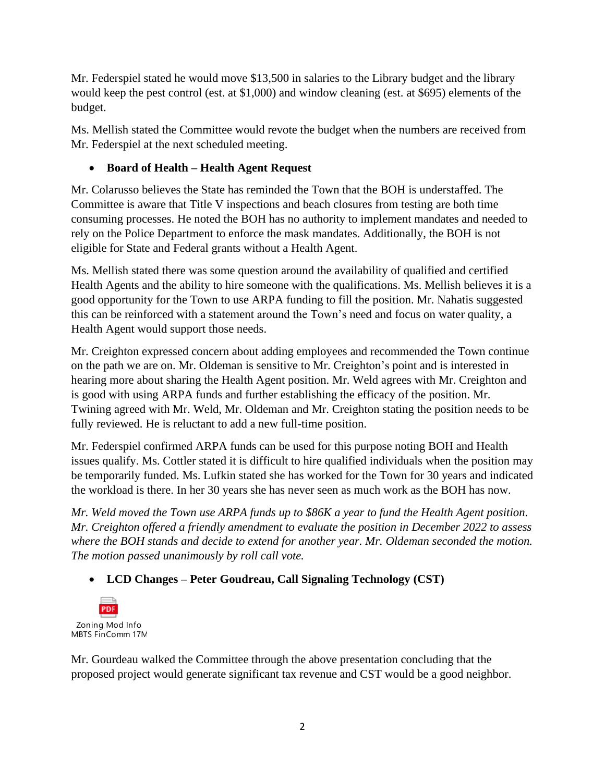Mr. Federspiel stated he would move \$13,500 in salaries to the Library budget and the library would keep the pest control (est. at \$1,000) and window cleaning (est. at \$695) elements of the budget.

Ms. Mellish stated the Committee would revote the budget when the numbers are received from Mr. Federspiel at the next scheduled meeting.

## • **Board of Health – Health Agent Request**

Mr. Colarusso believes the State has reminded the Town that the BOH is understaffed. The Committee is aware that Title V inspections and beach closures from testing are both time consuming processes. He noted the BOH has no authority to implement mandates and needed to rely on the Police Department to enforce the mask mandates. Additionally, the BOH is not eligible for State and Federal grants without a Health Agent.

Ms. Mellish stated there was some question around the availability of qualified and certified Health Agents and the ability to hire someone with the qualifications. Ms. Mellish believes it is a good opportunity for the Town to use ARPA funding to fill the position. Mr. Nahatis suggested this can be reinforced with a statement around the Town's need and focus on water quality, a Health Agent would support those needs.

Mr. Creighton expressed concern about adding employees and recommended the Town continue on the path we are on. Mr. Oldeman is sensitive to Mr. Creighton's point and is interested in hearing more about sharing the Health Agent position. Mr. Weld agrees with Mr. Creighton and is good with using ARPA funds and further establishing the efficacy of the position. Mr. Twining agreed with Mr. Weld, Mr. Oldeman and Mr. Creighton stating the position needs to be fully reviewed. He is reluctant to add a new full-time position.

Mr. Federspiel confirmed ARPA funds can be used for this purpose noting BOH and Health issues qualify. Ms. Cottler stated it is difficult to hire qualified individuals when the position may be temporarily funded. Ms. Lufkin stated she has worked for the Town for 30 years and indicated the workload is there. In her 30 years she has never seen as much work as the BOH has now.

*Mr. Weld moved the Town use ARPA funds up to \$86K a year to fund the Health Agent position. Mr. Creighton offered a friendly amendment to evaluate the position in December 2022 to assess where the BOH stands and decide to extend for another year. Mr. Oldeman seconded the motion. The motion passed unanimously by roll call vote.* 

# • **LCD Changes – Peter Goudreau, Call Signaling Technology (CST)**



Mr. Gourdeau walked the Committee through the above presentation concluding that the proposed project would generate significant tax revenue and CST would be a good neighbor.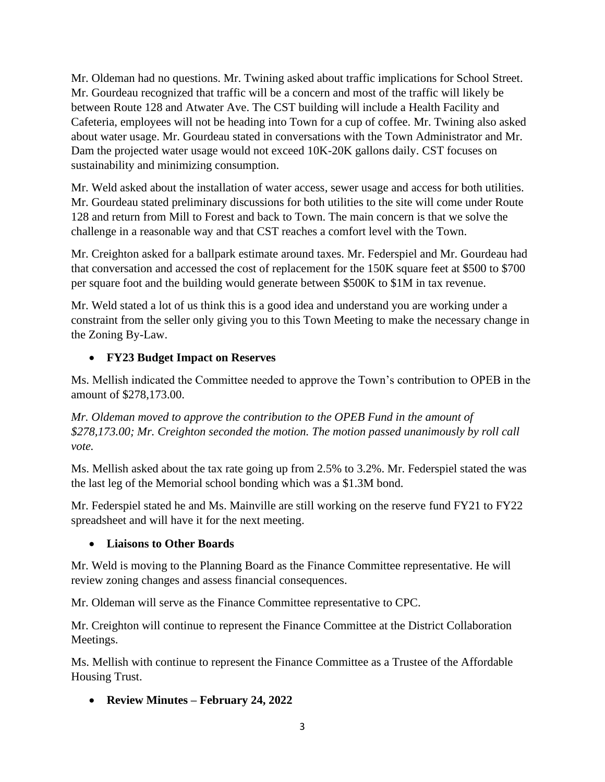Mr. Oldeman had no questions. Mr. Twining asked about traffic implications for School Street. Mr. Gourdeau recognized that traffic will be a concern and most of the traffic will likely be between Route 128 and Atwater Ave. The CST building will include a Health Facility and Cafeteria, employees will not be heading into Town for a cup of coffee. Mr. Twining also asked about water usage. Mr. Gourdeau stated in conversations with the Town Administrator and Mr. Dam the projected water usage would not exceed 10K-20K gallons daily. CST focuses on sustainability and minimizing consumption.

Mr. Weld asked about the installation of water access, sewer usage and access for both utilities. Mr. Gourdeau stated preliminary discussions for both utilities to the site will come under Route 128 and return from Mill to Forest and back to Town. The main concern is that we solve the challenge in a reasonable way and that CST reaches a comfort level with the Town.

Mr. Creighton asked for a ballpark estimate around taxes. Mr. Federspiel and Mr. Gourdeau had that conversation and accessed the cost of replacement for the 150K square feet at \$500 to \$700 per square foot and the building would generate between \$500K to \$1M in tax revenue.

Mr. Weld stated a lot of us think this is a good idea and understand you are working under a constraint from the seller only giving you to this Town Meeting to make the necessary change in the Zoning By-Law.

## • **FY23 Budget Impact on Reserves**

Ms. Mellish indicated the Committee needed to approve the Town's contribution to OPEB in the amount of \$278,173.00.

*Mr. Oldeman moved to approve the contribution to the OPEB Fund in the amount of \$278,173.00; Mr. Creighton seconded the motion. The motion passed unanimously by roll call vote.* 

Ms. Mellish asked about the tax rate going up from 2.5% to 3.2%. Mr. Federspiel stated the was the last leg of the Memorial school bonding which was a \$1.3M bond.

Mr. Federspiel stated he and Ms. Mainville are still working on the reserve fund FY21 to FY22 spreadsheet and will have it for the next meeting.

## • **Liaisons to Other Boards**

Mr. Weld is moving to the Planning Board as the Finance Committee representative. He will review zoning changes and assess financial consequences.

Mr. Oldeman will serve as the Finance Committee representative to CPC.

Mr. Creighton will continue to represent the Finance Committee at the District Collaboration Meetings.

Ms. Mellish with continue to represent the Finance Committee as a Trustee of the Affordable Housing Trust.

• **Review Minutes – February 24, 2022**